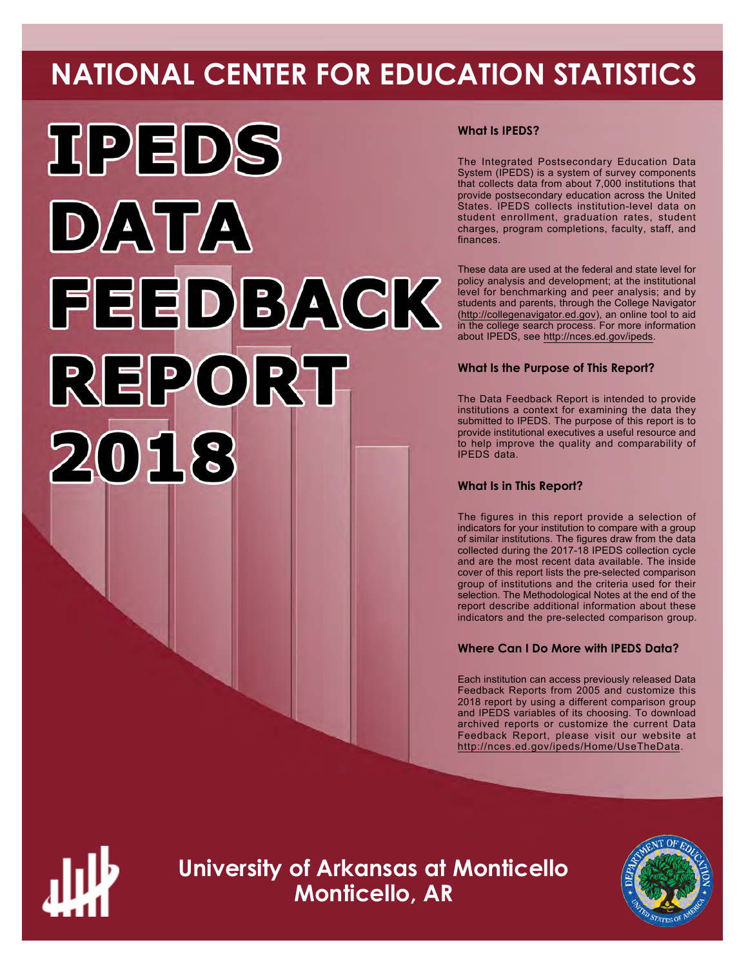# **NATIONAL CENTER FOR EDUCATION STATISTICS**



# **What Is IPEDS?**

The Integrated Postsecondary Education Data System (IPEDS) is a system of survey components that collects data from about 7,000 institutions that provide postsecondary education across the United States. IPEDS collects institution-level data on student enrollment, graduation rates, student charges, program completions, faculty, staff, and finances.

These data are used at the federal and state level for policy analysis and development; at the institutional level for benchmarking and peer analysis; and by students and parents, through the College Navigator ([http://collegenavigator.ed.gov\)](http://collegenavigator.ed.gov), an online tool to aid in the college search process. For more information about IPEDS, see [http://nces.ed.gov/ipeds.](http://nces.ed.gov/ipeds)

# **What Is the Purpose of This Report?**

The Data Feedback Report is intended to provide institutions a context for examining the data they submitted to IPEDS. The purpose of this report is to provide institutional executives a useful resource and to help improve the quality and comparability of IPEDS data.

# **What Is in This Report?**

The figures in this report provide a selection of indicators for your institution to compare with a group of similar institutions. The figures draw from the data collected during the 2017-18 IPEDS collection cycle and are the most recent data available. The inside cover of this report lists the pre-selected comparison group of institutions and the criteria used for their selection. The Methodological Notes at the end of the report describe additional information about these indicators and the pre-selected comparison group.

# **Where Can I Do More with IPEDS Data?**

Each institution can access previously released Data Feedback Reports from 2005 and customize this 2018 report by using a different comparison group and IPEDS variables of its choosing. To download archived reports or customize the current Data Feedback Report, please visit our website at <http://nces.ed.gov/ipeds/Home/UseTheData>.



**University of Arkansas at Monticello Monticello, AR**

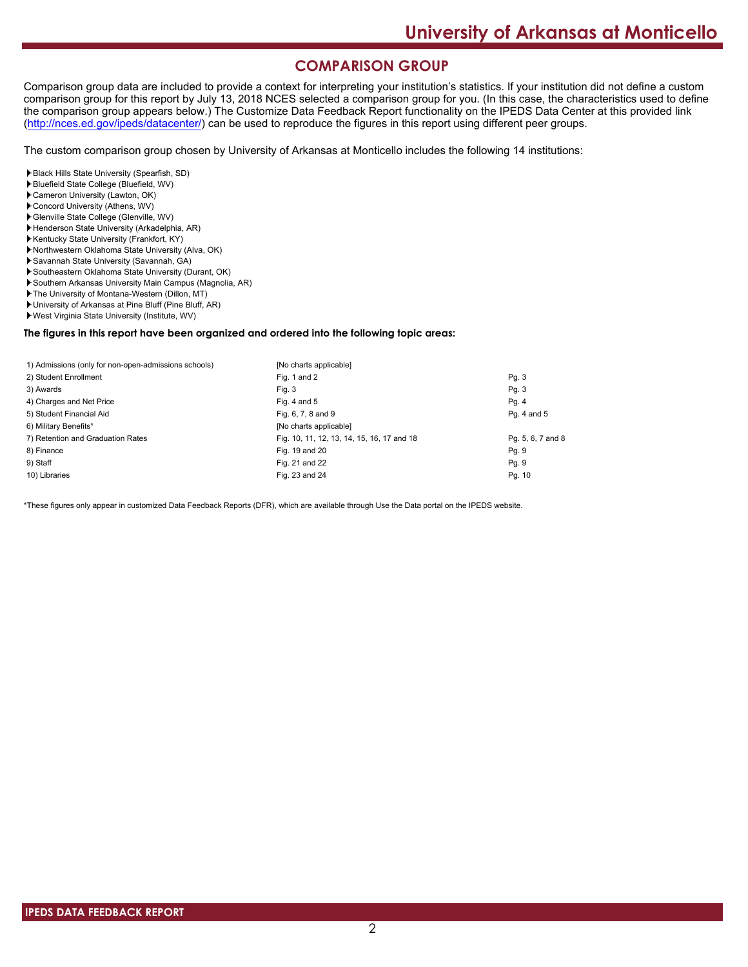# **COMPARISON GROUP**

Comparison group data are included to provide a context for interpreting your institution's statistics. If your institution did not define a custom comparison group for this report by July 13, 2018 NCES selected a comparison group for you. (In this case, the characteristics used to define the comparison group appears below.) The Customize Data Feedback Report functionality on the IPEDS Data Center at this provided link [\(http://nces.ed.gov/ipeds/datacenter/\)](http://nces.ed.gov/ipeds/datacenter/) can be used to reproduce the figures in this report using different peer groups.

The custom comparison group chosen by University of Arkansas at Monticello includes the following 14 institutions:

Black Hills State University (Spearfish, SD)

- Bluefield State College (Bluefield, WV)
- Cameron University (Lawton, OK)
- Concord University (Athens, WV)
- Glenville State College (Glenville, WV)
- Henderson State University (Arkadelphia, AR) Kentucky State University (Frankfort, KY)
- Northwestern Oklahoma State University (Alva, OK)
- Savannah State University (Savannah, GA)
- Southeastern Oklahoma State University (Durant, OK)
- Southern Arkansas University Main Campus (Magnolia, AR)
- The University of Montana-Western (Dillon, MT)
- University of Arkansas at Pine Bluff (Pine Bluff, AR)
- West Virginia State University (Institute, WV)

#### **The figures in this report have been organized and ordered into the following topic areas:**

| 1) Admissions (only for non-open-admissions schools) | [No charts applicable]                     |                   |
|------------------------------------------------------|--------------------------------------------|-------------------|
| 2) Student Enrollment                                | Fig. 1 and 2                               | Pg.3              |
| 3) Awards                                            | Fig. 3                                     | Pg.3              |
| 4) Charges and Net Price                             | Fig. 4 and $5$                             | Pg. 4             |
| 5) Student Financial Aid                             | Fig. 6, 7, 8 and 9                         | Pg. 4 and 5       |
| 6) Military Benefits*                                | [No charts applicable]                     |                   |
| 7) Retention and Graduation Rates                    | Fig. 10, 11, 12, 13, 14, 15, 16, 17 and 18 | Pg. 5, 6, 7 and 8 |
| 8) Finance                                           | Fig. 19 and 20                             | Pg. 9             |
| 9) Staff                                             | Fig. 21 and 22                             | Pg. 9             |
| 10) Libraries                                        | Fig. 23 and 24                             | Pg. 10            |

\*These figures only appear in customized Data Feedback Reports (DFR), which are available through Use the Data portal on the IPEDS website.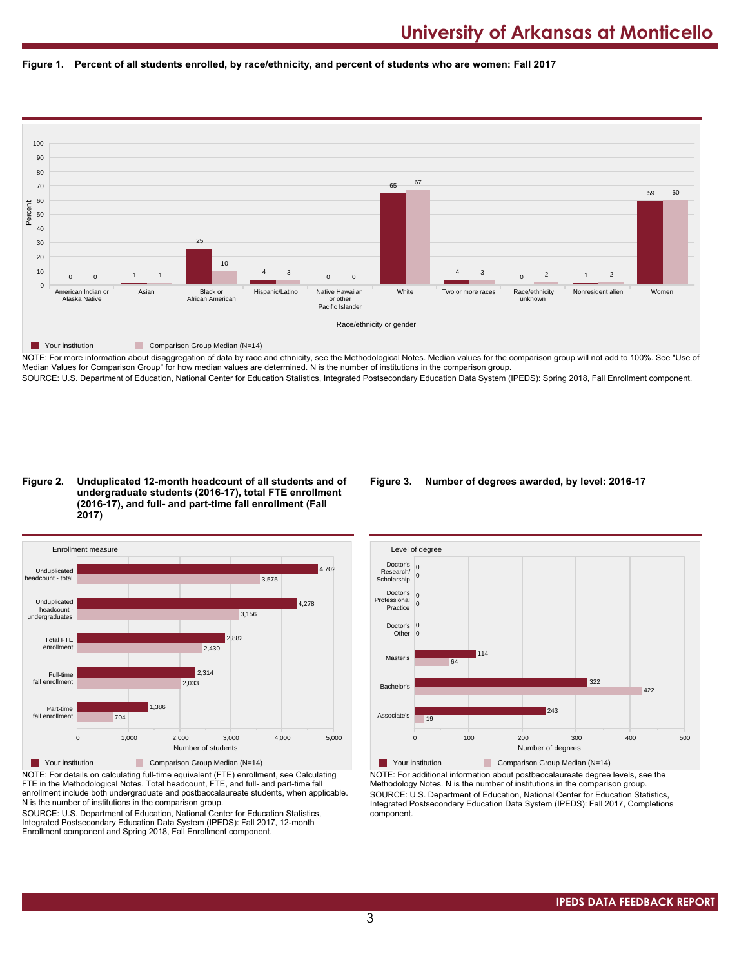



NOTE: For more information about disaggregation of data by race and ethnicity, see the Methodological Notes. Median values for the comparison group will not add to 100%. See "Use of Median Values for Comparison Group" for how median values are determined. N is the number of institutions in the comparison group. SOURCE: U.S. Department of Education, National Center for Education Statistics, Integrated Postsecondary Education Data System (IPEDS): Spring 2018, Fall Enrollment component.

#### **Figure 2. Unduplicated 12-month headcount of all students and of undergraduate students (2016-17), total FTE enrollment (2016-17), and full- and part-time fall enrollment (Fall 2017)**



NOTE: For details on calculating full-time equivalent (FTE) enrollment, see Calculating FTE in the Methodological Notes. Total headcount, FTE, and full- and part-time fall enrollment include both undergraduate and postbaccalaureate students, when applicable. N is the number of institutions in the comparison group.

SOURCE: U.S. Department of Education, National Center for Education Statistics, Integrated Postsecondary Education Data System (IPEDS): Fall 2017, 12-month Enrollment component and Spring 2018, Fall Enrollment component.

### **Figure 3. Number of degrees awarded, by level: 2016-17**



**The Your institution Comparison Group Median (N=14)** NOTE: For additional information about postbaccalaureate degree levels, see the Methodology Notes. N is the number of institutions in the comparison group. SOURCE: U.S. Department of Education, National Center for Education Statistics, Integrated Postsecondary Education Data System (IPEDS): Fall 2017, Completions component.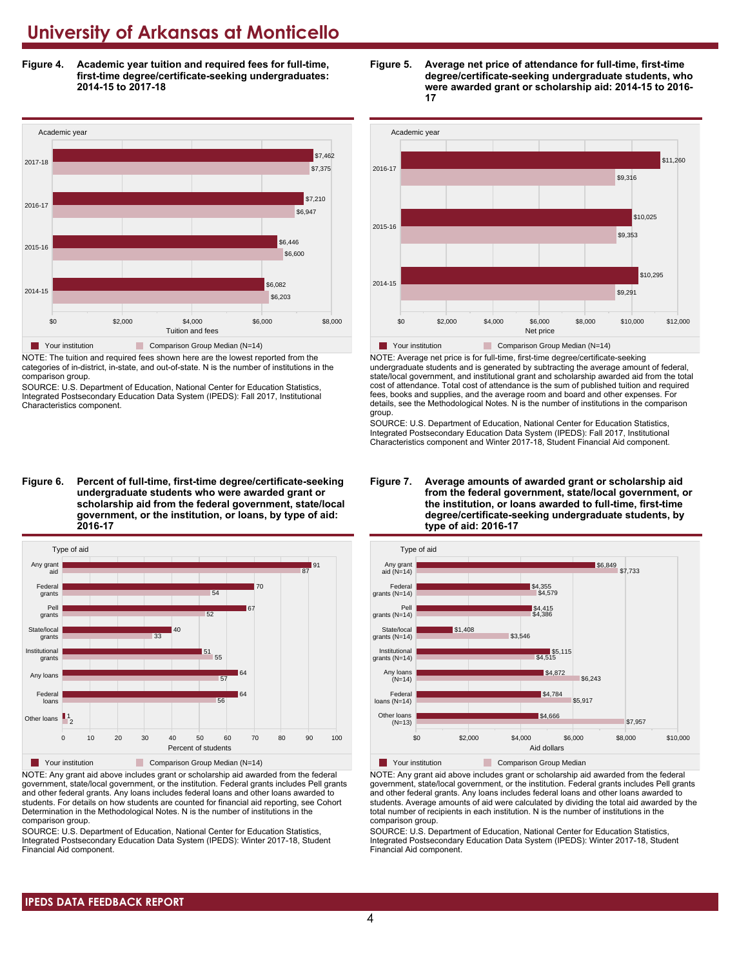**Figure 4. Academic year tuition and required fees for full-time, first-time degree/certificate-seeking undergraduates: 2014-15 to 2017-18**



NOTE: The tuition and required fees shown here are the lowest reported from the categories of in-district, in-state, and out-of-state. N is the number of institutions in the comparison group.

SOURCE: U.S. Department of Education, National Center for Education Statistics, Integrated Postsecondary Education Data System (IPEDS): Fall 2017, Institutional Characteristics component.

**Figure 6. Percent of full-time, first-time degree/certificate-seeking undergraduate students who were awarded grant or scholarship aid from the federal government, state/local government, or the institution, or loans, by type of aid: 2016-17**



NOTE: Any grant aid above includes grant or scholarship aid awarded from the federal government, state/local government, or the institution. Federal grants includes Pell grants and other federal grants. Any loans includes federal loans and other loans awarded to students. For details on how students are counted for financial aid reporting, see Cohort Determination in the Methodological Notes. N is the number of institutions in the comparison group.

SOURCE: U.S. Department of Education, National Center for Education Statistics, Integrated Postsecondary Education Data System (IPEDS): Winter 2017-18, Student Financial Aid component.





NOTE: Average net price is for full-time, first-time degree/certificate-seeking undergraduate students and is generated by subtracting the average amount of federal, state/local government, and institutional grant and scholarship awarded aid from the total cost of attendance. Total cost of attendance is the sum of published tuition and required fees, books and supplies, and the average room and board and other expenses. For details, see the Methodological Notes. N is the number of institutions in the comparison group.

SOURCE: U.S. Department of Education, National Center for Education Statistics, Integrated Postsecondary Education Data System (IPEDS): Fall 2017, Institutional Characteristics component and Winter 2017-18, Student Financial Aid component.





NOTE: Any grant aid above includes grant or scholarship aid awarded from the federal government, state/local government, or the institution. Federal grants includes Pell grants and other federal grants. Any loans includes federal loans and other loans awarded to students. Average amounts of aid were calculated by dividing the total aid awarded by the total number of recipients in each institution. N is the number of institutions in the comparison group.

SOURCE: U.S. Department of Education, National Center for Education Statistics, Integrated Postsecondary Education Data System (IPEDS): Winter 2017-18, Student Financial Aid component.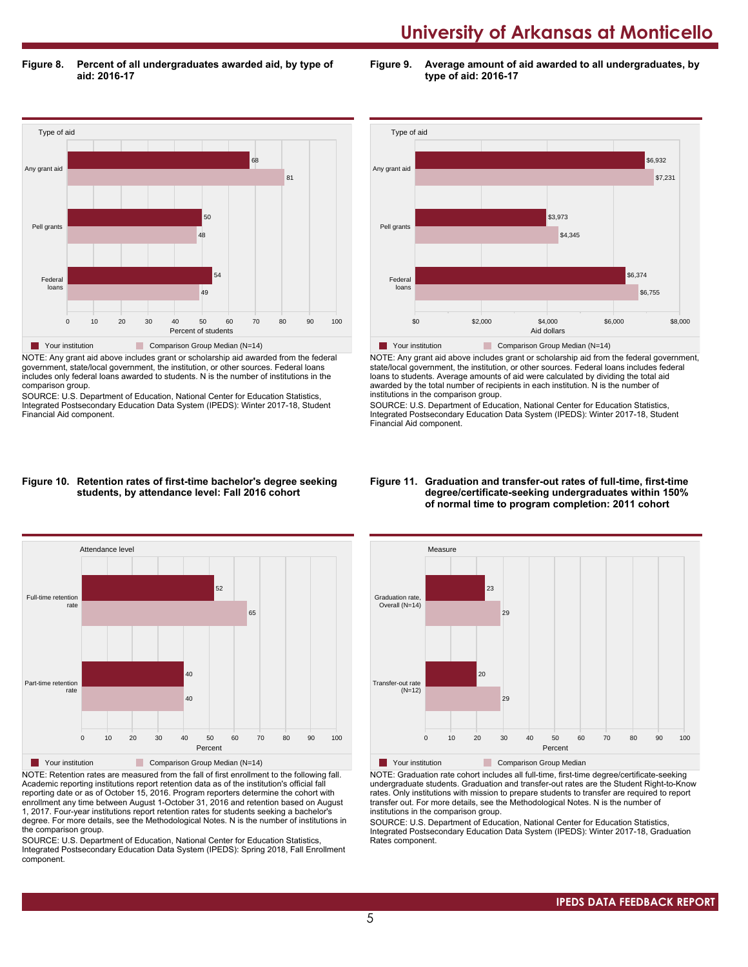**Figure 8. Percent of all undergraduates awarded aid, by type of aid: 2016-17**

**Figure 9. Average amount of aid awarded to all undergraduates, by type of aid: 2016-17**



NOTE: Any grant aid above includes grant or scholarship aid awarded from the federal government, state/local government, the institution, or other sources. Federal loans includes only federal loans awarded to students. N is the number of institutions in the comparison group.

SOURCE: U.S. Department of Education, National Center for Education Statistics, Integrated Postsecondary Education Data System (IPEDS): Winter 2017-18, Student Financial Aid component.



NOTE: Any grant aid above includes grant or scholarship aid from the federal government, state/local government, the institution, or other sources. Federal loans includes federal loans to students. Average amounts of aid were calculated by dividing the total aid awarded by the total number of recipients in each institution. N is the number of institutions in the comparison group.

SOURCE: U.S. Department of Education, National Center for Education Statistics, Integrated Postsecondary Education Data System (IPEDS): Winter 2017-18, Student Financial Aid component.

#### **Figure 10. Retention rates of first-time bachelor's degree seeking students, by attendance level: Fall 2016 cohort**



NOTE: Retention rates are measured from the fall of first enrollment to the following fall. Academic reporting institutions report retention data as of the institution's official fall reporting date or as of October 15, 2016. Program reporters determine the cohort with enrollment any time between August 1-October 31, 2016 and retention based on August 1, 2017. Four-year institutions report retention rates for students seeking a bachelor's degree. For more details, see the Methodological Notes. N is the number of institutions in the comparison group.

SOURCE: U.S. Department of Education, National Center for Education Statistics, Integrated Postsecondary Education Data System (IPEDS): Spring 2018, Fall Enrollment component.

#### **Figure 11. Graduation and transfer-out rates of full-time, first-time degree/certificate-seeking undergraduates within 150% of normal time to program completion: 2011 cohort**



NOTE: Graduation rate cohort includes all full-time, first-time degree/certificate-seeking undergraduate students. Graduation and transfer-out rates are the Student Right-to-Know rates. Only institutions with mission to prepare students to transfer are required to report transfer out. For more details, see the Methodological Notes. N is the number of institutions in the comparison group.

SOURCE: U.S. Department of Education, National Center for Education Statistics, Integrated Postsecondary Education Data System (IPEDS): Winter 2017-18, Graduation Rates component.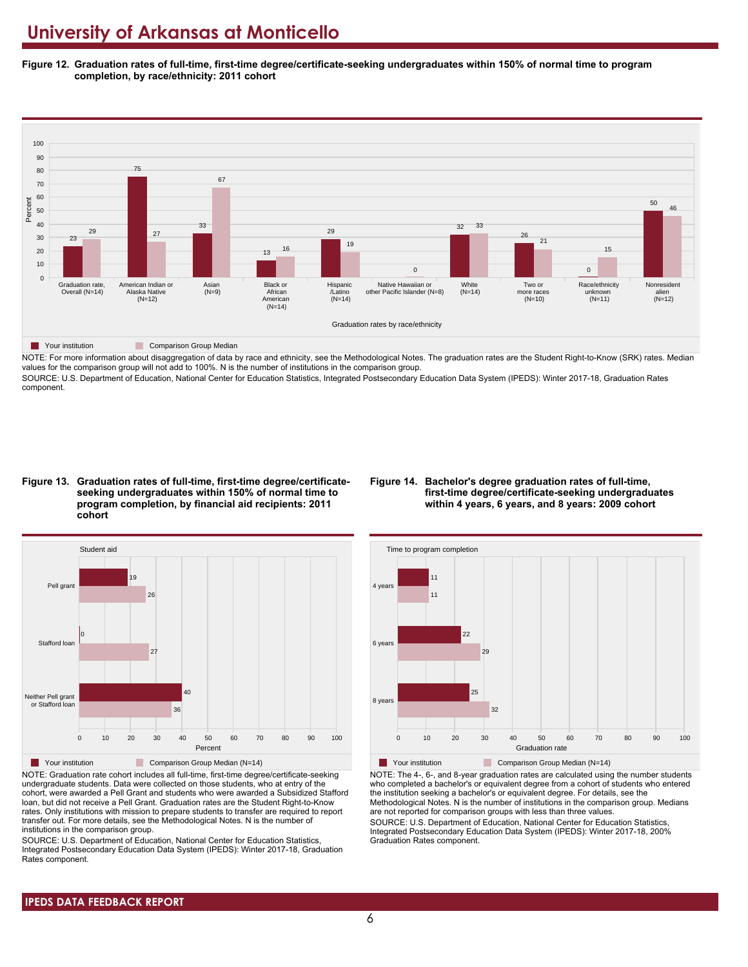**Figure 12. Graduation rates of full-time, first-time degree/certificate-seeking undergraduates within 150% of normal time to program completion, by race/ethnicity: 2011 cohort**



NOTE: For more information about disaggregation of data by race and ethnicity, see the Methodological Notes. The graduation rates are the Student Right-to-Know (SRK) rates. Median values for the comparison group will not add to 100%. N is the number of institutions in the comparison group. SOURCE: U.S. Department of Education, National Center for Education Statistics, Integrated Postsecondary Education Data System (IPEDS): Winter 2017-18, Graduation Rates

component.

**Figure 13. Graduation rates of full-time, first-time degree/certificateseeking undergraduates within 150% of normal time to program completion, by financial aid recipients: 2011 cohort**

#### **Figure 14. Bachelor's degree graduation rates of full-time, first-time degree/certificate-seeking undergraduates within 4 years, 6 years, and 8 years: 2009 cohort**



NOTE: Graduation rate cohort includes all full-time, first-time degree/certificate-seeking undergraduate students. Data were collected on those students, who at entry of the cohort, were awarded a Pell Grant and students who were awarded a Subsidized Stafford loan, but did not receive a Pell Grant. Graduation rates are the Student Right-to-Know rates. Only institutions with mission to prepare students to transfer are required to report transfer out. For more details, see the Methodological Notes. N is the number of institutions in the comparison group.

SOURCE: U.S. Department of Education, National Center for Education Statistics, Integrated Postsecondary Education Data System (IPEDS): Winter 2017-18, Graduation Rates component.



**The Your institution Comparison Group Median (N=14)** 

NOTE: The 4-, 6-, and 8-year graduation rates are calculated using the number students who completed a bachelor's or equivalent degree from a cohort of students who entered the institution seeking a bachelor's or equivalent degree. For details, see the Methodological Notes. N is the number of institutions in the comparison group. Medians are not reported for comparison groups with less than three values.

SOURCE: U.S. Department of Education, National Center for Education Statistics, Integrated Postsecondary Education Data System (IPEDS): Winter 2017-18, 200% Graduation Rates component.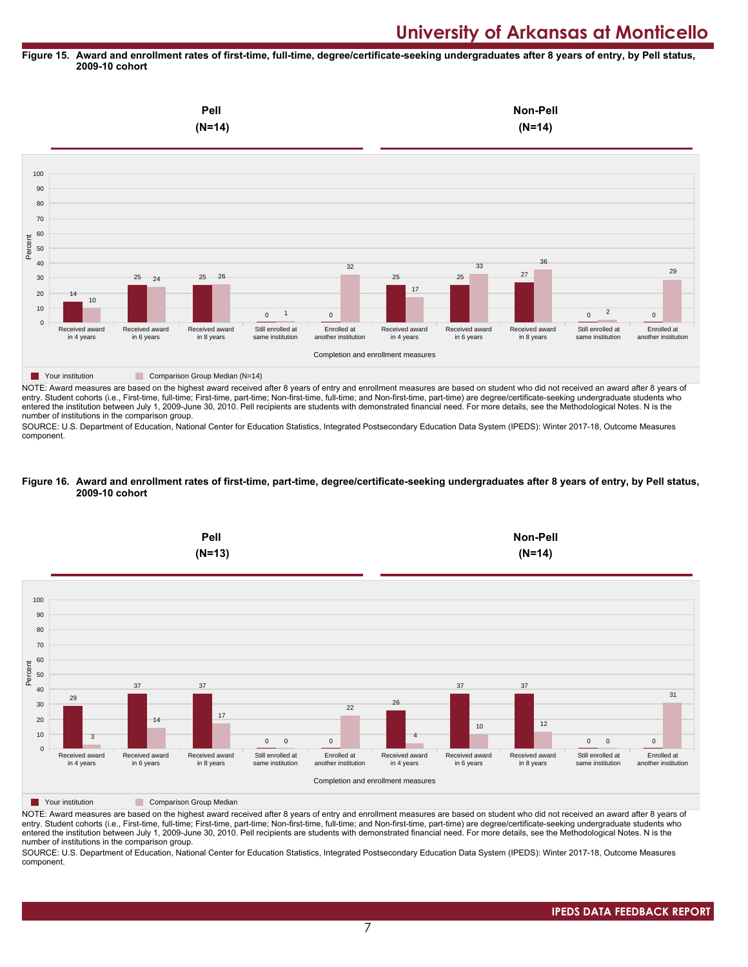#### **Figure 15. Award and enrollment rates of first-time, full-time, degree/certificate-seeking undergraduates after 8 years of entry, by Pell status, 2009-10 cohort**



NOTE: Award measures are based on the highest award received after 8 years of entry and enrollment measures are based on student who did not received an award after 8 years of entry. Student cohorts (i.e., First-time, full-time; First-time, part-time; Non-first-time, full-time; and Non-first-time, part-time) are degree/certificate-seeking undergraduate students who entered the institution between July 1, 2009-June 30, 2010. Pell recipients are students with demonstrated financial need. For more details, see the Methodological Notes. N is the number of institutions in the comparison group.

SOURCE: U.S. Department of Education, National Center for Education Statistics, Integrated Postsecondary Education Data System (IPEDS): Winter 2017-18, Outcome Measures component.

#### **Figure 16. Award and enrollment rates of first-time, part-time, degree/certificate-seeking undergraduates after 8 years of entry, by Pell status, 2009-10 cohort**



NOTE: Award measures are based on the highest award received after 8 years of entry and enrollment measures are based on student who did not received an award after 8 years of entry. Student cohorts (i.e., First-time, full-time; First-time, part-time; Non-first-time, full-time; and Non-first-time, part-time) are degree/certificate-seeking undergraduate students who entered the institution between July 1, 2009-June 30, 2010. Pell recipients are students with demonstrated financial need. For more details, see the Methodological Notes. N is the number of institutions in the comparison group.

SOURCE: U.S. Department of Education, National Center for Education Statistics, Integrated Postsecondary Education Data System (IPEDS): Winter 2017-18, Outcome Measures component.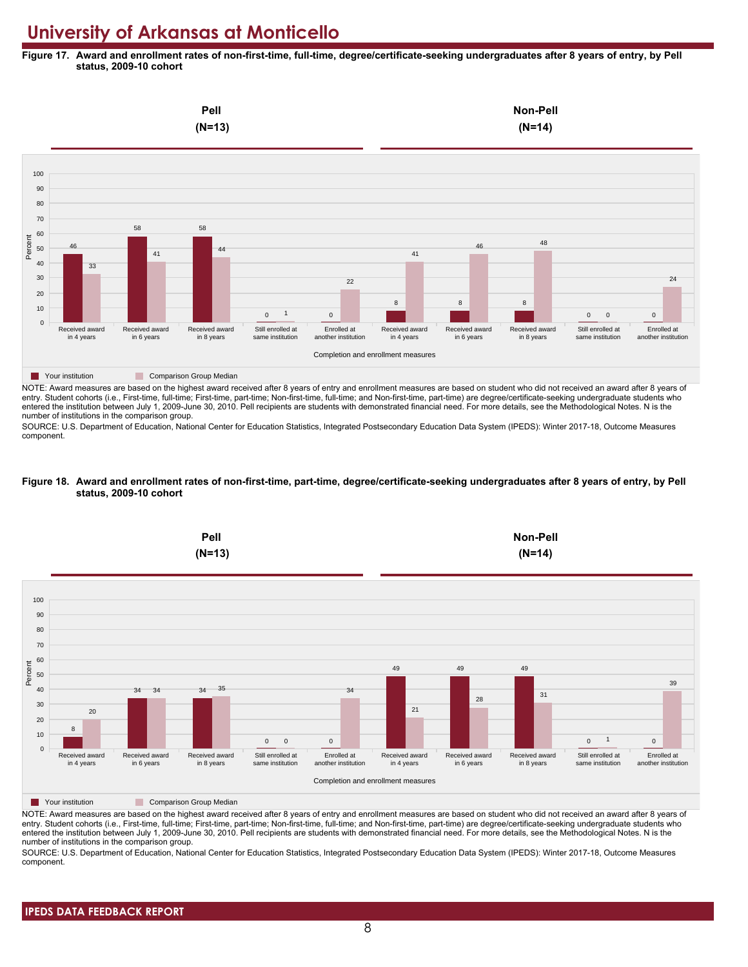**Figure 17. Award and enrollment rates of non-first-time, full-time, degree/certificate-seeking undergraduates after 8 years of entry, by Pell status, 2009-10 cohort**



NOTE: Award measures are based on the highest award received after 8 years of entry and enrollment measures are based on student who did not received an award after 8 years of entry. Student cohorts (i.e., First-time, full-time; First-time, part-time; Non-first-time, full-time; and Non-first-time, part-time) are degree/certificate-seeking undergraduate students who entered the institution between July 1, 2009-June 30, 2010. Pell recipients are students with demonstrated financial need. For more details, see the Methodological Notes. N is the number of institutions in the comparison group.

SOURCE: U.S. Department of Education, National Center for Education Statistics, Integrated Postsecondary Education Data System (IPEDS): Winter 2017-18, Outcome Measures component.

#### **Figure 18. Award and enrollment rates of non-first-time, part-time, degree/certificate-seeking undergraduates after 8 years of entry, by Pell status, 2009-10 cohort**



NOTE: Award measures are based on the highest award received after 8 years of entry and enrollment measures are based on student who did not received an award after 8 years of entry. Student cohorts (i.e., First-time, full-time; First-time, part-time; Non-first-time, full-time; and Non-first-time, part-time) are degree/certificate-seeking undergraduate students who entered the institution between July 1, 2009-June 30, 2010. Pell recipients are students with demonstrated financial need. For more details, see the Methodological Notes. N is the number of institutions in the comparison group.

SOURCE: U.S. Department of Education, National Center for Education Statistics, Integrated Postsecondary Education Data System (IPEDS): Winter 2017-18, Outcome Measures component.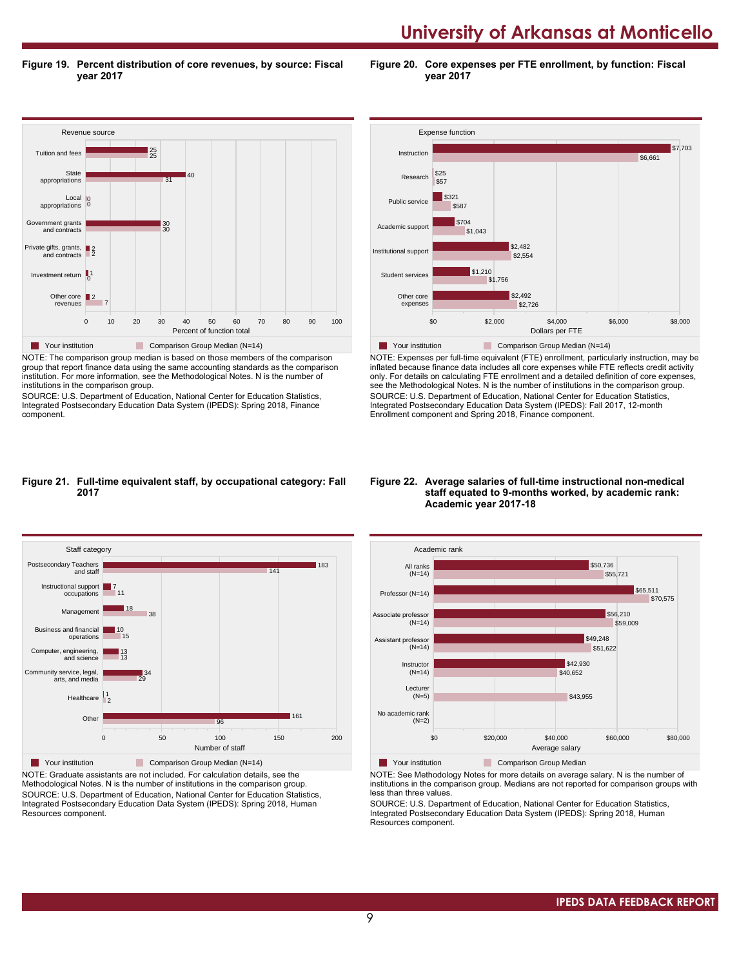**Figure 19. Percent distribution of core revenues, by source: Fiscal year 2017**

**Figure 20. Core expenses per FTE enrollment, by function: Fiscal year 2017**



NOTE: The comparison group median is based on those members of the comparison group that report finance data using the same accounting standards as the comparison institution. For more information, see the Methodological Notes. N is the number of institutions in the comparison group.

SOURCE: U.S. Department of Education, National Center for Education Statistics, Integrated Postsecondary Education Data System (IPEDS): Spring 2018, Finance component.



NOTE: Expenses per full-time equivalent (FTE) enrollment, particularly instruction, may be inflated because finance data includes all core expenses while FTE reflects credit activity only. For details on calculating FTE enrollment and a detailed definition of core expenses, see the Methodological Notes. N is the number of institutions in the comparison group. SOURCE: U.S. Department of Education, National Center for Education Statistics, Integrated Postsecondary Education Data System (IPEDS): Fall 2017, 12-month Enrollment component and Spring 2018, Finance component.

#### **Figure 21. Full-time equivalent staff, by occupational category: Fall 2017**



NOTE: Graduate assistants are not included. For calculation details, see the Methodological Notes. N is the number of institutions in the comparison group. SOURCE: U.S. Department of Education, National Center for Education Statistics, Integrated Postsecondary Education Data System (IPEDS): Spring 2018, Human Resources component.

#### **Figure 22. Average salaries of full-time instructional non-medical staff equated to 9-months worked, by academic rank: Academic year 2017-18**



NOTE: See Methodology Notes for more details on average salary. N is the number of institutions in the comparison group. Medians are not reported for comparison groups with less than three values.

SOURCE: U.S. Department of Education, National Center for Education Statistics, Integrated Postsecondary Education Data System (IPEDS): Spring 2018, Human Resources component.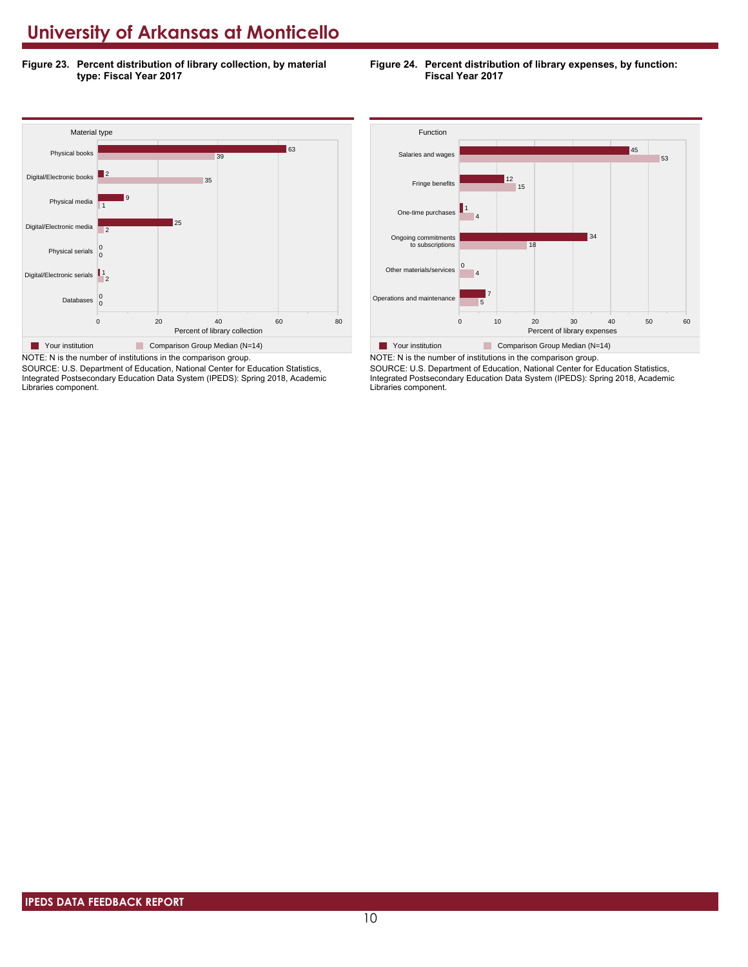**Figure 23. Percent distribution of library collection, by material type: Fiscal Year 2017**





SOURCE: U.S. Department of Education, National Center for Education Statistics, Integrated Postsecondary Education Data System (IPEDS): Spring 2018, Academic Libraries component.



SOURCE: U.S. Department of Education, National Center for Education Statistics, Integrated Postsecondary Education Data System (IPEDS): Spring 2018, Academic Libraries component.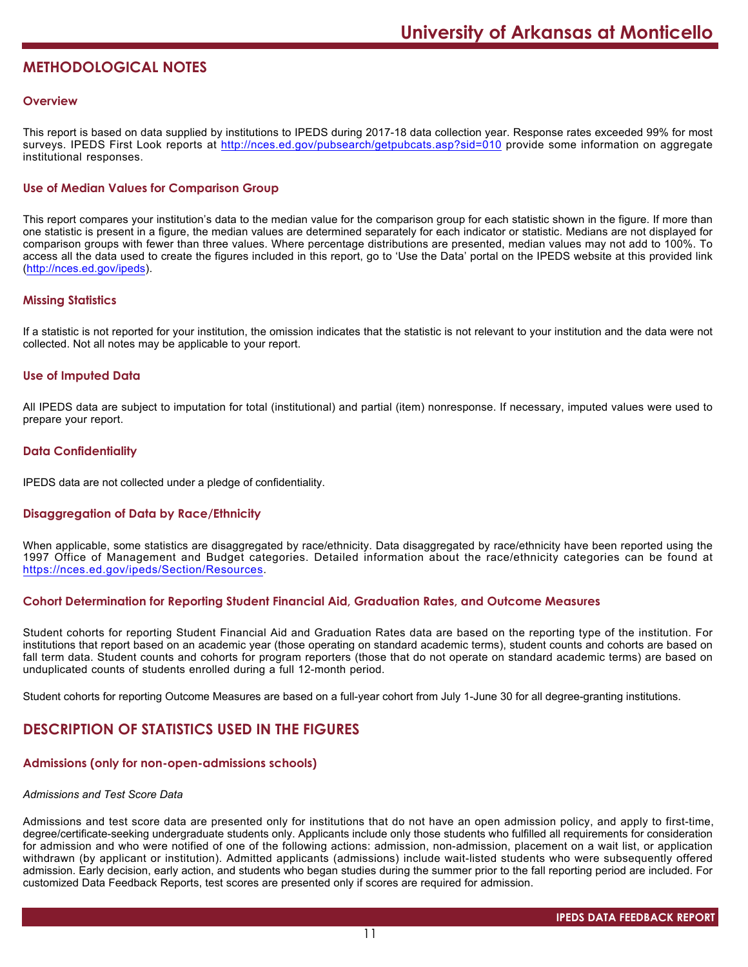# **METHODOLOGICAL NOTES**

### **Overview**

This report is based on data supplied by institutions to IPEDS during 2017-18 data collection year. Response rates exceeded 99% for most surveys. IPEDS First Look reports at <http://nces.ed.gov/pubsearch/getpubcats.asp?sid=010> provide some information on aggregate institutional responses.

# **Use of Median Values for Comparison Group**

This report compares your institution's data to the median value for the comparison group for each statistic shown in the figure. If more than one statistic is present in a figure, the median values are determined separately for each indicator or statistic. Medians are not displayed for comparison groups with fewer than three values. Where percentage distributions are presented, median values may not add to 100%. To access all the data used to create the figures included in this report, go to 'Use the Data' portal on the IPEDS website at this provided link (<http://nces.ed.gov/ipeds>).

### **Missing Statistics**

If a statistic is not reported for your institution, the omission indicates that the statistic is not relevant to your institution and the data were not collected. Not all notes may be applicable to your report.

#### **Use of Imputed Data**

All IPEDS data are subject to imputation for total (institutional) and partial (item) nonresponse. If necessary, imputed values were used to prepare your report.

# **Data Confidentiality**

IPEDS data are not collected under a pledge of confidentiality.

# **Disaggregation of Data by Race/Ethnicity**

When applicable, some statistics are disaggregated by race/ethnicity. Data disaggregated by race/ethnicity have been reported using the 1997 Office of Management and Budget categories. Detailed information about the race/ethnicity categories can be found at <https://nces.ed.gov/ipeds/Section/Resources>.

#### **Cohort Determination for Reporting Student Financial Aid, Graduation Rates, and Outcome Measures**

Student cohorts for reporting Student Financial Aid and Graduation Rates data are based on the reporting type of the institution. For institutions that report based on an academic year (those operating on standard academic terms), student counts and cohorts are based on fall term data. Student counts and cohorts for program reporters (those that do not operate on standard academic terms) are based on unduplicated counts of students enrolled during a full 12-month period.

Student cohorts for reporting Outcome Measures are based on a full-year cohort from July 1-June 30 for all degree-granting institutions.

# **DESCRIPTION OF STATISTICS USED IN THE FIGURES**

#### **Admissions (only for non-open-admissions schools)**

#### *Admissions and Test Score Data*

Admissions and test score data are presented only for institutions that do not have an open admission policy, and apply to first-time, degree/certificate-seeking undergraduate students only. Applicants include only those students who fulfilled all requirements for consideration for admission and who were notified of one of the following actions: admission, non-admission, placement on a wait list, or application withdrawn (by applicant or institution). Admitted applicants (admissions) include wait-listed students who were subsequently offered admission. Early decision, early action, and students who began studies during the summer prior to the fall reporting period are included. For customized Data Feedback Reports, test scores are presented only if scores are required for admission.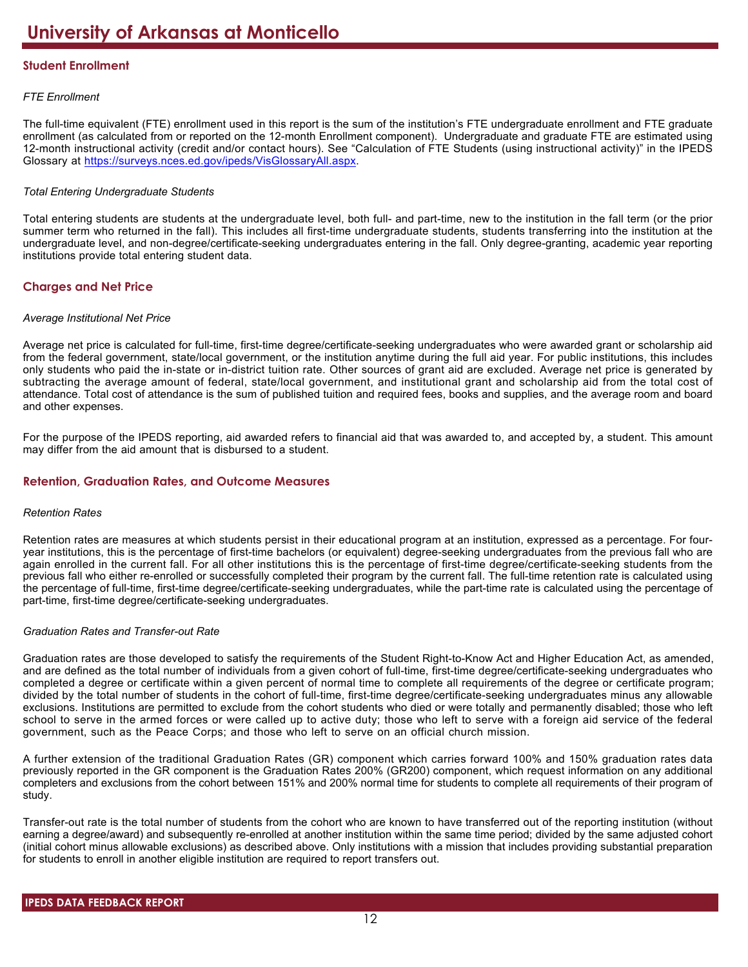# **Student Enrollment**

# *FTE Enrollment*

The full-time equivalent (FTE) enrollment used in this report is the sum of the institution's FTE undergraduate enrollment and FTE graduate enrollment (as calculated from or reported on the 12-month Enrollment component). Undergraduate and graduate FTE are estimated using 12-month instructional activity (credit and/or contact hours). See "Calculation of FTE Students (using instructional activity)" in the IPEDS Glossary at <https://surveys.nces.ed.gov/ipeds/VisGlossaryAll.aspx>.

# *Total Entering Undergraduate Students*

Total entering students are students at the undergraduate level, both full- and part-time, new to the institution in the fall term (or the prior summer term who returned in the fall). This includes all first-time undergraduate students, students transferring into the institution at the undergraduate level, and non-degree/certificate-seeking undergraduates entering in the fall. Only degree-granting, academic year reporting institutions provide total entering student data.

# **Charges and Net Price**

# *Average Institutional Net Price*

Average net price is calculated for full-time, first-time degree/certificate-seeking undergraduates who were awarded grant or scholarship aid from the federal government, state/local government, or the institution anytime during the full aid year. For public institutions, this includes only students who paid the in-state or in-district tuition rate. Other sources of grant aid are excluded. Average net price is generated by subtracting the average amount of federal, state/local government, and institutional grant and scholarship aid from the total cost of attendance. Total cost of attendance is the sum of published tuition and required fees, books and supplies, and the average room and board and other expenses.

For the purpose of the IPEDS reporting, aid awarded refers to financial aid that was awarded to, and accepted by, a student. This amount may differ from the aid amount that is disbursed to a student.

# **Retention, Graduation Rates, and Outcome Measures**

# *Retention Rates*

Retention rates are measures at which students persist in their educational program at an institution, expressed as a percentage. For fouryear institutions, this is the percentage of first-time bachelors (or equivalent) degree-seeking undergraduates from the previous fall who are again enrolled in the current fall. For all other institutions this is the percentage of first-time degree/certificate-seeking students from the previous fall who either re-enrolled or successfully completed their program by the current fall. The full-time retention rate is calculated using the percentage of full-time, first-time degree/certificate-seeking undergraduates, while the part-time rate is calculated using the percentage of part-time, first-time degree/certificate-seeking undergraduates.

# *Graduation Rates and Transfer-out Rate*

Graduation rates are those developed to satisfy the requirements of the Student Right-to-Know Act and Higher Education Act, as amended, and are defined as the total number of individuals from a given cohort of full-time, first-time degree/certificate-seeking undergraduates who completed a degree or certificate within a given percent of normal time to complete all requirements of the degree or certificate program; divided by the total number of students in the cohort of full-time, first-time degree/certificate-seeking undergraduates minus any allowable exclusions. Institutions are permitted to exclude from the cohort students who died or were totally and permanently disabled; those who left school to serve in the armed forces or were called up to active duty; those who left to serve with a foreign aid service of the federal government, such as the Peace Corps; and those who left to serve on an official church mission.

A further extension of the traditional Graduation Rates (GR) component which carries forward 100% and 150% graduation rates data previously reported in the GR component is the Graduation Rates 200% (GR200) component, which request information on any additional completers and exclusions from the cohort between 151% and 200% normal time for students to complete all requirements of their program of study.

Transfer-out rate is the total number of students from the cohort who are known to have transferred out of the reporting institution (without earning a degree/award) and subsequently re-enrolled at another institution within the same time period; divided by the same adjusted cohort (initial cohort minus allowable exclusions) as described above. Only institutions with a mission that includes providing substantial preparation for students to enroll in another eligible institution are required to report transfers out.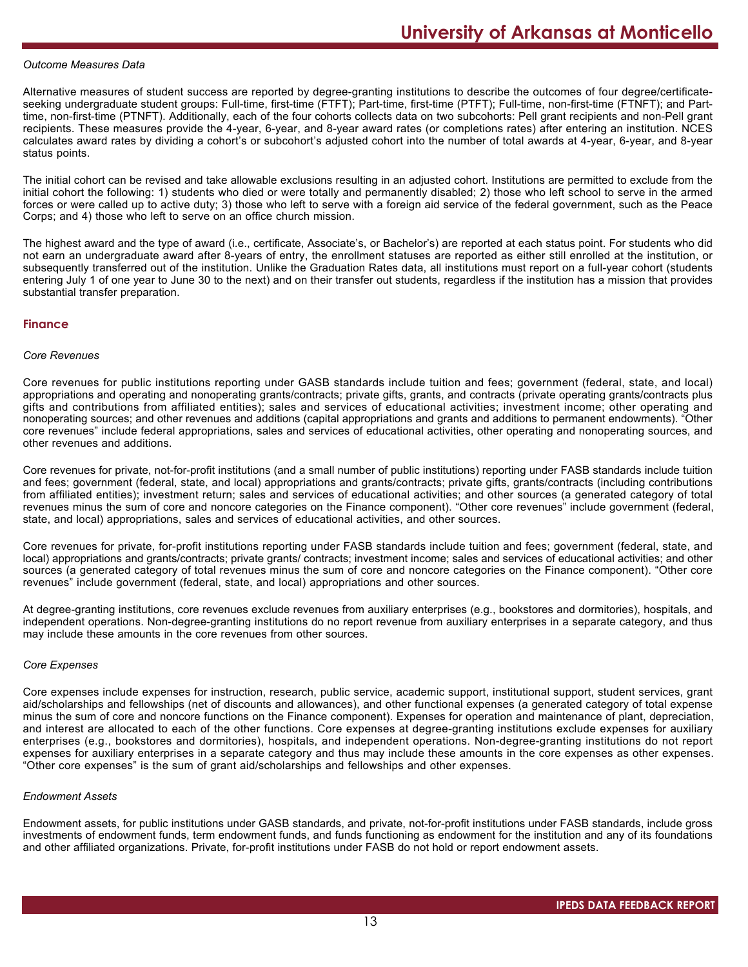#### *Outcome Measures Data*

Alternative measures of student success are reported by degree-granting institutions to describe the outcomes of four degree/certificateseeking undergraduate student groups: Full-time, first-time (FTFT); Part-time, first-time (PTFT); Full-time, non-first-time (FTNFT); and Parttime, non-first-time (PTNFT). Additionally, each of the four cohorts collects data on two subcohorts: Pell grant recipients and non-Pell grant recipients. These measures provide the 4-year, 6-year, and 8-year award rates (or completions rates) after entering an institution. NCES calculates award rates by dividing a cohort's or subcohort's adjusted cohort into the number of total awards at 4-year, 6-year, and 8-year status points.

The initial cohort can be revised and take allowable exclusions resulting in an adjusted cohort. Institutions are permitted to exclude from the initial cohort the following: 1) students who died or were totally and permanently disabled; 2) those who left school to serve in the armed forces or were called up to active duty; 3) those who left to serve with a foreign aid service of the federal government, such as the Peace Corps; and 4) those who left to serve on an office church mission.

The highest award and the type of award (i.e., certificate, Associate's, or Bachelor's) are reported at each status point. For students who did not earn an undergraduate award after 8-years of entry, the enrollment statuses are reported as either still enrolled at the institution, or subsequently transferred out of the institution. Unlike the Graduation Rates data, all institutions must report on a full-year cohort (students entering July 1 of one year to June 30 to the next) and on their transfer out students, regardless if the institution has a mission that provides substantial transfer preparation.

#### **Finance**

#### *Core Revenues*

Core revenues for public institutions reporting under GASB standards include tuition and fees; government (federal, state, and local) appropriations and operating and nonoperating grants/contracts; private gifts, grants, and contracts (private operating grants/contracts plus gifts and contributions from affiliated entities); sales and services of educational activities; investment income; other operating and nonoperating sources; and other revenues and additions (capital appropriations and grants and additions to permanent endowments). "Other core revenues" include federal appropriations, sales and services of educational activities, other operating and nonoperating sources, and other revenues and additions.

Core revenues for private, not-for-profit institutions (and a small number of public institutions) reporting under FASB standards include tuition and fees; government (federal, state, and local) appropriations and grants/contracts; private gifts, grants/contracts (including contributions from affiliated entities); investment return; sales and services of educational activities; and other sources (a generated category of total revenues minus the sum of core and noncore categories on the Finance component). "Other core revenues" include government (federal, state, and local) appropriations, sales and services of educational activities, and other sources.

Core revenues for private, for-profit institutions reporting under FASB standards include tuition and fees; government (federal, state, and local) appropriations and grants/contracts; private grants/ contracts; investment income; sales and services of educational activities; and other sources (a generated category of total revenues minus the sum of core and noncore categories on the Finance component). "Other core revenues" include government (federal, state, and local) appropriations and other sources.

At degree-granting institutions, core revenues exclude revenues from auxiliary enterprises (e.g., bookstores and dormitories), hospitals, and independent operations. Non-degree-granting institutions do no report revenue from auxiliary enterprises in a separate category, and thus may include these amounts in the core revenues from other sources.

#### *Core Expenses*

Core expenses include expenses for instruction, research, public service, academic support, institutional support, student services, grant aid/scholarships and fellowships (net of discounts and allowances), and other functional expenses (a generated category of total expense minus the sum of core and noncore functions on the Finance component). Expenses for operation and maintenance of plant, depreciation, and interest are allocated to each of the other functions. Core expenses at degree-granting institutions exclude expenses for auxiliary enterprises (e.g., bookstores and dormitories), hospitals, and independent operations. Non-degree-granting institutions do not report expenses for auxiliary enterprises in a separate category and thus may include these amounts in the core expenses as other expenses. "Other core expenses" is the sum of grant aid/scholarships and fellowships and other expenses.

#### *Endowment Assets*

Endowment assets, for public institutions under GASB standards, and private, not-for-profit institutions under FASB standards, include gross investments of endowment funds, term endowment funds, and funds functioning as endowment for the institution and any of its foundations and other affiliated organizations. Private, for-profit institutions under FASB do not hold or report endowment assets.